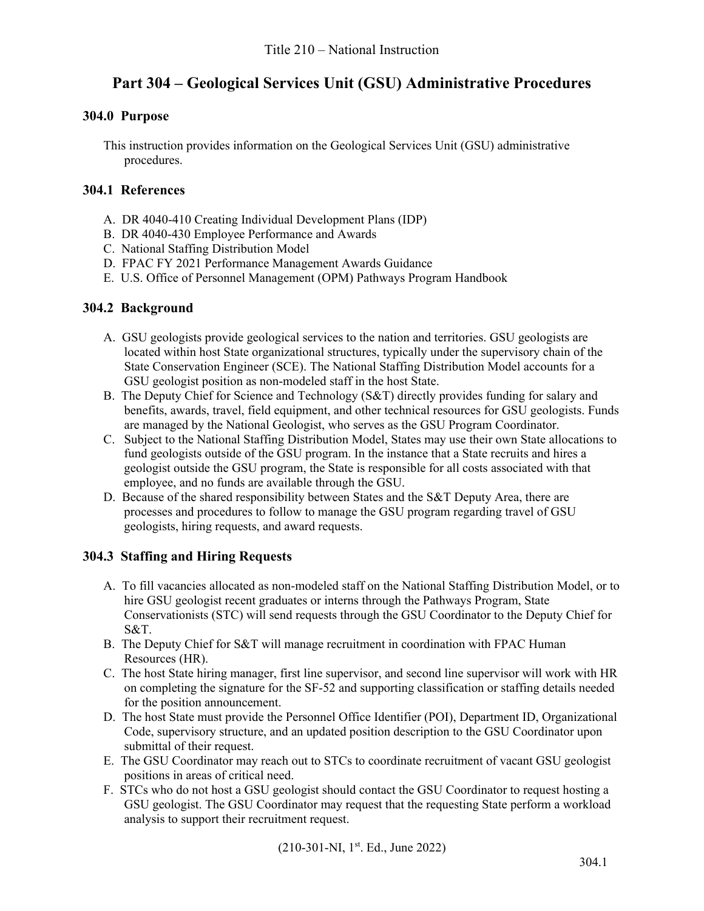# **Part 304 – Geological Services Unit (GSU) Administrative Procedures**

# **304.0 Purpose**

This instruction provides information on the Geological Services Unit (GSU) administrative procedures.

# **304.1 References**

- A. DR 4040-410 Creating Individual Development Plans (IDP)
- B. DR 4040-430 Employee Performance and Awards
- C. National Staffing Distribution Model
- D. FPAC FY 2021 Performance Management Awards Guidance
- E. U.S. Office of Personnel Management (OPM) Pathways Program Handbook

## **304.2 Background**

- A. GSU geologists provide geological services to the nation and territories. GSU geologists are located within host State organizational structures, typically under the supervisory chain of the State Conservation Engineer (SCE). The National Staffing Distribution Model accounts for a GSU geologist position as non-modeled staff in the host State.
- B. The Deputy Chief for Science and Technology (S&T) directly provides funding for salary and benefits, awards, travel, field equipment, and other technical resources for GSU geologists. Funds are managed by the National Geologist, who serves as the GSU Program Coordinator.
- C. Subject to the National Staffing Distribution Model, States may use their own State allocations to fund geologists outside of the GSU program. In the instance that a State recruits and hires a geologist outside the GSU program, the State is responsible for all costs associated with that employee, and no funds are available through the GSU.
- D. Because of the shared responsibility between States and the S&T Deputy Area, there are processes and procedures to follow to manage the GSU program regarding travel of GSU geologists, hiring requests, and award requests.

# **304.3 Staffing and Hiring Requests**

- A. To fill vacancies allocated as non-modeled staff on the National Staffing Distribution Model, or to hire GSU geologist recent graduates or interns through the Pathways Program, State Conservationists (STC) will send requests through the GSU Coordinator to the Deputy Chief for S&T.
- B. The Deputy Chief for S&T will manage recruitment in coordination with FPAC Human Resources (HR).
- C. The host State hiring manager, first line supervisor, and second line supervisor will work with HR on completing the signature for the SF-52 and supporting classification or staffing details needed for the position announcement.
- D. The host State must provide the Personnel Office Identifier (POI), Department ID, Organizational Code, supervisory structure, and an updated position description to the GSU Coordinator upon submittal of their request.
- E. The GSU Coordinator may reach out to STCs to coordinate recruitment of vacant GSU geologist positions in areas of critical need.
- F. STCs who do not host a GSU geologist should contact the GSU Coordinator to request hosting a GSU geologist. The GSU Coordinator may request that the requesting State perform a workload analysis to support their recruitment request.

 $(210-301-NI, 1<sup>st</sup>. Ed., June 2022)$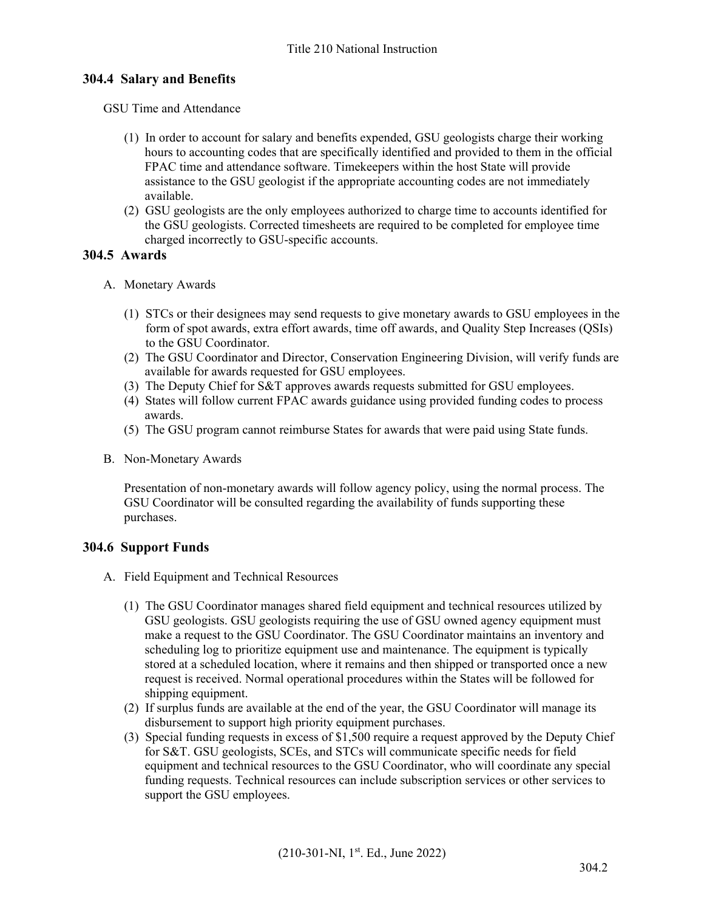## **304.4 Salary and Benefits**

GSU Time and Attendance

- (1) In order to account for salary and benefits expended, GSU geologists charge their working hours to accounting codes that are specifically identified and provided to them in the official FPAC time and attendance software. Timekeepers within the host State will provide assistance to the GSU geologist if the appropriate accounting codes are not immediately available.
- (2) GSU geologists are the only employees authorized to charge time to accounts identified for the GSU geologists. Corrected timesheets are required to be completed for employee time charged incorrectly to GSU-specific accounts.

#### **304.5 Awards**

- A. Monetary Awards
	- (1) STCs or their designees may send requests to give monetary awards to GSU employees in the form of spot awards, extra effort awards, time off awards, and Quality Step Increases (QSIs) to the GSU Coordinator.
	- (2) The GSU Coordinator and Director, Conservation Engineering Division, will verify funds are available for awards requested for GSU employees.
	- (3) The Deputy Chief for S&T approves awards requests submitted for GSU employees.
	- (4) States will follow current FPAC awards guidance using provided funding codes to process awards.
	- (5) The GSU program cannot reimburse States for awards that were paid using State funds.
- B. Non-Monetary Awards

Presentation of non-monetary awards will follow agency policy, using the normal process. The GSU Coordinator will be consulted regarding the availability of funds supporting these purchases.

## **304.6 Support Funds**

- A. Field Equipment and Technical Resources
	- (1) The GSU Coordinator manages shared field equipment and technical resources utilized by GSU geologists. GSU geologists requiring the use of GSU owned agency equipment must make a request to the GSU Coordinator. The GSU Coordinator maintains an inventory and scheduling log to prioritize equipment use and maintenance. The equipment is typically stored at a scheduled location, where it remains and then shipped or transported once a new request is received. Normal operational procedures within the States will be followed for shipping equipment.
	- (2) If surplus funds are available at the end of the year, the GSU Coordinator will manage its disbursement to support high priority equipment purchases.
	- (3) Special funding requests in excess of \$1,500 require a request approved by the Deputy Chief for S&T. GSU geologists, SCEs, and STCs will communicate specific needs for field equipment and technical resources to the GSU Coordinator, who will coordinate any special funding requests. Technical resources can include subscription services or other services to support the GSU employees.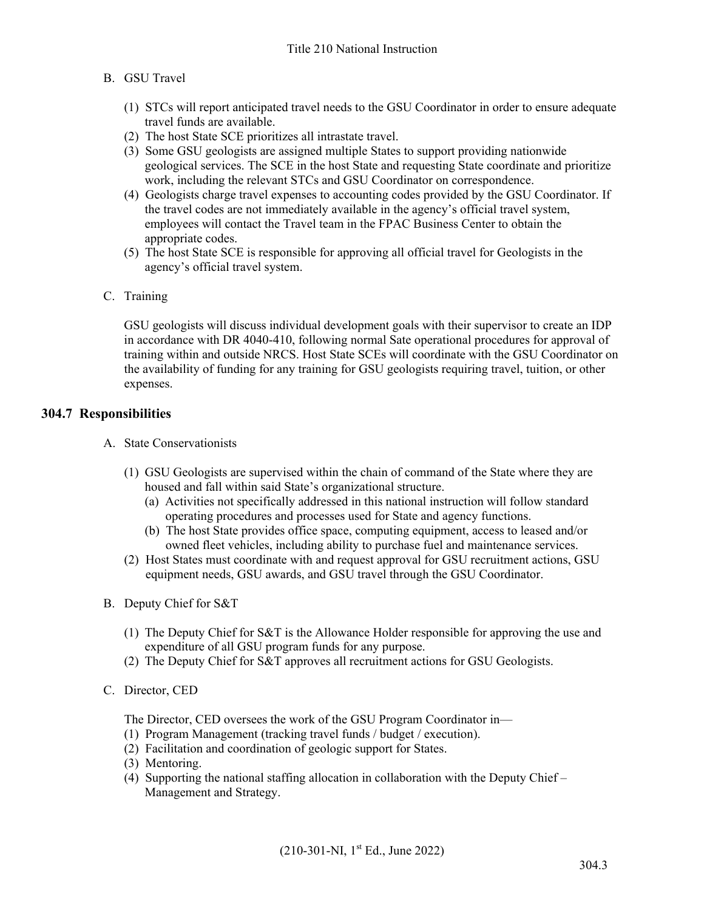#### B. GSU Travel

- (1) STCs will report anticipated travel needs to the GSU Coordinator in order to ensure adequate travel funds are available.
- (2) The host State SCE prioritizes all intrastate travel.
- (3) Some GSU geologists are assigned multiple States to support providing nationwide geological services. The SCE in the host State and requesting State coordinate and prioritize work, including the relevant STCs and GSU Coordinator on correspondence.
- (4) Geologists charge travel expenses to accounting codes provided by the GSU Coordinator. If the travel codes are not immediately available in the agency's official travel system, employees will contact the Travel team in the FPAC Business Center to obtain the appropriate codes.
- (5) The host State SCE is responsible for approving all official travel for Geologists in the agency's official travel system.
- C. Training

GSU geologists will discuss individual development goals with their supervisor to create an IDP in accordance with DR 4040-410, following normal Sate operational procedures for approval of training within and outside NRCS. Host State SCEs will coordinate with the GSU Coordinator on the availability of funding for any training for GSU geologists requiring travel, tuition, or other expenses.

#### **304.7 Responsibilities**

- A. State Conservationists
	- (1) GSU Geologists are supervised within the chain of command of the State where they are housed and fall within said State's organizational structure.
		- (a) Activities not specifically addressed in this national instruction will follow standard operating procedures and processes used for State and agency functions.
		- (b) The host State provides office space, computing equipment, access to leased and/or owned fleet vehicles, including ability to purchase fuel and maintenance services.
	- (2) Host States must coordinate with and request approval for GSU recruitment actions, GSU equipment needs, GSU awards, and GSU travel through the GSU Coordinator.
- B. Deputy Chief for S&T
	- (1) The Deputy Chief for S&T is the Allowance Holder responsible for approving the use and expenditure of all GSU program funds for any purpose.
	- (2) The Deputy Chief for S&T approves all recruitment actions for GSU Geologists.
- C. Director, CED

The Director, CED oversees the work of the GSU Program Coordinator in—

- (1) Program Management (tracking travel funds / budget / execution).
- (2) Facilitation and coordination of geologic support for States.
- (3) Mentoring.
- (4) Supporting the national staffing allocation in collaboration with the Deputy Chief Management and Strategy.